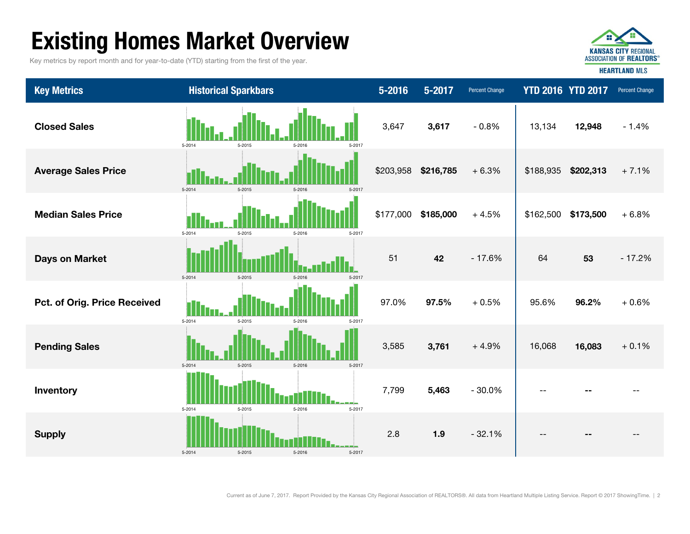# Existing Homes Market Overview

Key metrics by report month and for year-to-date (YTD) starting from the first of the year.



| <b>Key Metrics</b>           | <b>Historical Sparkbars</b>              | $5 - 2016$ | 5-2017    | Percent Change |           | <b>YTD 2016 YTD 2017</b> | Percent Change |
|------------------------------|------------------------------------------|------------|-----------|----------------|-----------|--------------------------|----------------|
| <b>Closed Sales</b>          | 5-2014<br>5-2015<br>5-2016<br>5-2017     | 3,647      | 3,617     | $-0.8%$        | 13,134    | 12,948                   | $-1.4%$        |
| <b>Average Sales Price</b>   | 5-2014<br>5-2015<br>5-2016<br>5-2017     | \$203,958  | \$216,785 | $+6.3%$        | \$188,935 | \$202,313                | $+7.1%$        |
| <b>Median Sales Price</b>    | 5-2014<br>5-2015<br>5-2016<br>5-2017     | \$177,000  | \$185,000 | $+4.5%$        | \$162,500 | \$173,500                | $+6.8%$        |
| <b>Days on Market</b>        | 5-2014<br>5-2015<br>5-2017<br>5-2016     | 51         | 42        | $-17.6%$       | 64        | 53                       | $-17.2%$       |
| Pct. of Orig. Price Received | 5-2014<br>5-2015<br>5-2016<br>5-2017     | 97.0%      | 97.5%     | $+0.5%$        | 95.6%     | 96.2%                    | $+0.6%$        |
| <b>Pending Sales</b>         | 5-2014<br>5-2015<br>$5 - 2016$<br>5-2017 | 3,585      | 3,761     | $+4.9%$        | 16,068    | 16,083                   | $+0.1%$        |
| Inventory                    | 5-2014<br>5-2015<br>5-2016<br>5-2017     | 7,799      | 5,463     | $-30.0%$       | $-$       |                          |                |
| <b>Supply</b>                | 5-2014<br>5-2015<br>5-2016<br>5-2017     | 2.8        | 1.9       | $-32.1%$       | --        |                          |                |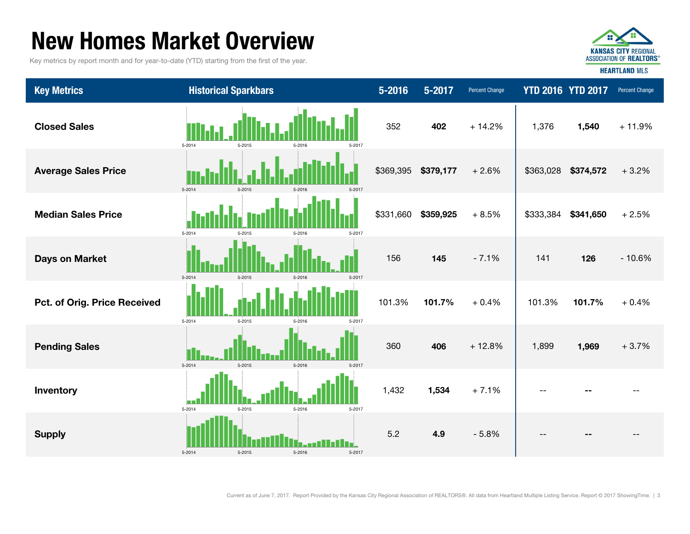## New Homes Market Overview

Key metrics by report month and for year-to-date (YTD) starting from the first of the year.



| <b>Key Metrics</b>           | <b>Historical Sparkbars</b>              | $5 - 2016$ | $5 - 2017$ | Percent Change |           | <b>YTD 2016 YTD 2017</b> | Percent Change |
|------------------------------|------------------------------------------|------------|------------|----------------|-----------|--------------------------|----------------|
| <b>Closed Sales</b>          | 5-2014<br>5-2015<br>5-2017<br>5-2016     | 352        | 402        | $+14.2%$       | 1,376     | 1,540                    | $+11.9%$       |
| <b>Average Sales Price</b>   | 5-2014<br>$5 - 2017$<br>5-2015<br>5-2016 | \$369,395  | \$379,177  | $+2.6%$        | \$363,028 | \$374,572                | $+3.2%$        |
| <b>Median Sales Price</b>    | 5-2014<br>5-2016<br>5-2017<br>5-2015     | \$331,660  | \$359,925  | $+8.5%$        | \$333,384 | \$341,650                | $+2.5%$        |
| <b>Days on Market</b>        | $5 - 2014$<br>5-2015<br>5-2017<br>5-2016 | 156        | 145        | $-7.1%$        | 141       | 126                      | $-10.6%$       |
| Pct. of Orig. Price Received | 5-2014<br>5-2015<br>5-2016<br>5-2017     | 101.3%     | 101.7%     | $+0.4%$        | 101.3%    | 101.7%                   | $+0.4%$        |
| <b>Pending Sales</b>         | 5-2014<br>5-2015<br>5-2016<br>5-2017     | 360        | 406        | $+12.8%$       | 1,899     | 1,969                    | $+3.7%$        |
| Inventory                    | 5-2014<br>5-2016<br>5-2015<br>5-2017     | 1,432      | 1,534      | $+7.1%$        |           |                          |                |
| <b>Supply</b>                | 5-2014<br>5-2015<br>5-2016<br>5-2017     | 5.2        | 4.9        | $-5.8%$        | $-$       |                          |                |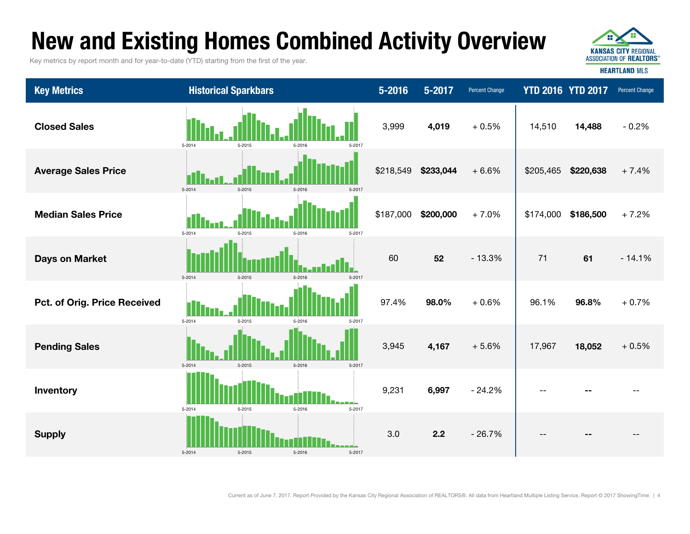# New and Existing Homes Combined Activity Overview

Key metrics by report month and for year-to-date (YTD) starting from the first of the year.



| <b>Key Metrics</b>           | <b>Historical Sparkbars</b>                | 5-2016    | 5-2017    | <b>Percent Change</b> | <b>YTD 2016 YTD 2017</b> |           | Percent Change |
|------------------------------|--------------------------------------------|-----------|-----------|-----------------------|--------------------------|-----------|----------------|
| <b>Closed Sales</b>          | 5-2014<br>5-2015<br>5-2016<br>5-2017       | 3,999     | 4,019     | $+0.5%$               | 14,510                   | 14,488    | $-0.2%$        |
| <b>Average Sales Price</b>   | 5-2014<br>5-2015<br>5.901'                 | \$218,549 | \$233,044 | $+6.6%$               | \$205,465                | \$220,638 | $+7.4%$        |
| <b>Median Sales Price</b>    | 11<br>5-2014<br>5-2015<br>5-2016<br>5-2017 | \$187,000 | \$200,000 | $+7.0%$               | \$174,000                | \$186,500 | $+7.2%$        |
| <b>Days on Market</b>        | 5-2014<br>5-2015<br>5-2016                 | 60        | 52        | $-13.3%$              | 71                       | 61        | $-14.1%$       |
| Pct. of Orig. Price Received | 5-2014<br>5-2015<br>5-2016<br>5-2017       | 97.4%     | 98.0%     | $+0.6%$               | 96.1%                    | 96.8%     | $+0.7%$        |
| <b>Pending Sales</b>         | 5-2014<br>5-2016<br>5-2015<br>5-2017       | 3,945     | 4,167     | $+5.6%$               | 17,967                   | 18,052    | $+0.5%$        |
| Inventory                    | 5-2014<br>5-2015<br>5-2016<br>5-2017       | 9,231     | 6,997     | $-24.2%$              | $-$                      |           |                |
| <b>Supply</b>                | 5-2014<br>5-2015<br>5-2016<br>5-2017       | 3.0       | 2.2       | $-26.7%$              |                          |           |                |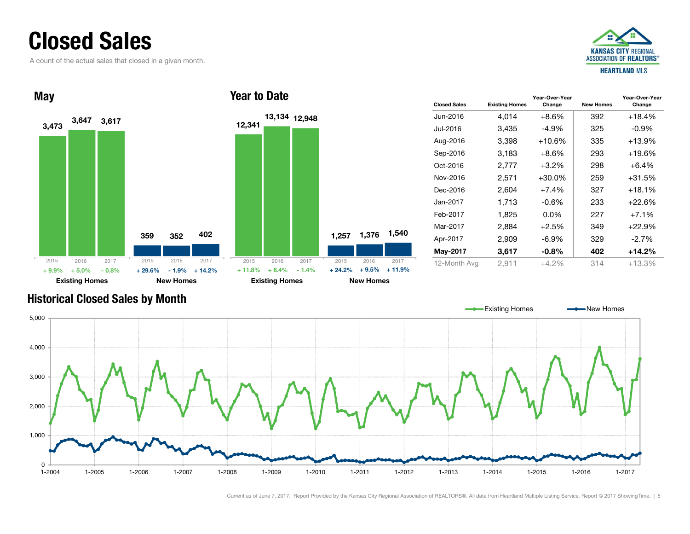### Closed Sales

A count of the actual sales that closed in a given month.





| <b>Closed Sales</b> | <b>Existing Homes</b> | Year-Over-Year<br>Change | <b>New Homes</b> | Year-Over-Year<br>Change |
|---------------------|-----------------------|--------------------------|------------------|--------------------------|
| Jun-2016            | 4,014                 | $+8.6%$                  | 392              | $+18.4%$                 |
| Jul-2016            | 3,435                 | $-4.9\%$                 | 325              | $-0.9\%$                 |
| Aug-2016            | 3,398                 | $+10.6%$                 | 335              | $+13.9%$                 |
| Sep-2016            | 3,183                 | +8.6%                    | 293              | +19.6%                   |
| $Oct-2016$          | 2,777                 | +3.2%                    | 298              | $+6.4\%$                 |
| Nov-2016            | 2,571                 | $+30.0\%$                | 259              | $+31.5%$                 |
| Dec-2016            | 2,604                 | $+7.4%$                  | 327              | $+18.1%$                 |
| Jan-2017            | 1,713                 | -0.6%                    | 233              | $+22.6\%$                |
| Feb-2017            | 1,825                 | $0.0\%$                  | 227              | $+7.1%$                  |
| Mar-2017            | 2,884                 | +2.5%                    | 349              | $+22.9%$                 |
| Apr-2017            | 2,909                 | $-6.9\%$                 | 329              | $-2.7%$                  |
| May-2017            | 3,617                 | -0.8%                    | 402              | $+14.2%$                 |
| 12-Month Avg        | 2,911                 | $+4.2%$                  | 314              | $+13.3%$                 |

Existing Homes **-** New Homes

### Historical Closed Sales by Month

01-2004 1,000 2,000 3,000 4,000 5,000 1-2004 1-2005 1-2006 1-2007 1-2008 1-2009 1-2010 1-2011 1-2012 1-2013 1-2014 1-2015 1-2016 1-2017 $1 - 2017$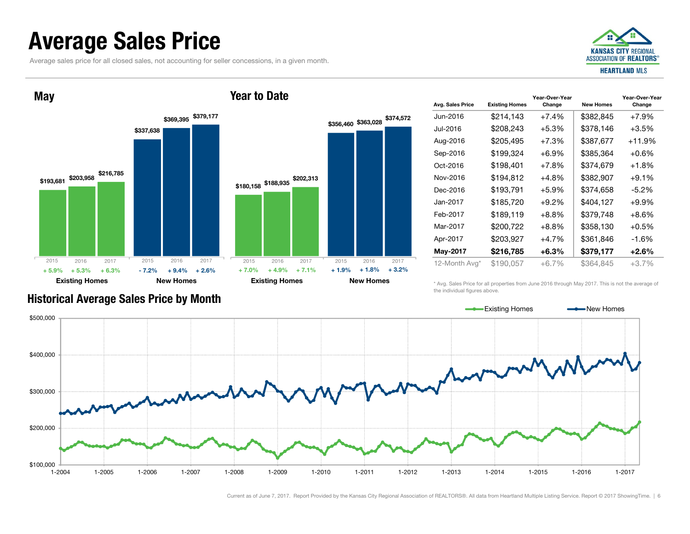### Average Sales Price

Average sales price for all closed sales, not accounting for seller concessions, in a given month.





| Avg. Sales Price | <b>Existing Homes</b> | Year-Over-Year<br>Change | <b>New Homes</b> | Year-Over-Year<br>Change |
|------------------|-----------------------|--------------------------|------------------|--------------------------|
| Jun-2016.        | \$214,143             | $+7.4%$                  | \$382,845        | $+7.9%$                  |
| Jul-2016.        | \$208,243             | $+5.3\%$                 | \$378,146        | $+3.5%$                  |
| Aug-2016         | \$205,495             | $+7.3%$                  | \$387,677        | $+11.9%$                 |
| Sep-2016         | \$199,324             | $+6.9\%$                 | \$385,364        | $+0.6%$                  |
| Oct-2016         | \$198,401             | $+7.8\%$                 | \$374.679        | $+1.8\%$                 |
| Nov-2016         | \$194,812             | $+4.8%$                  | \$382,907        | $+9.1\%$                 |
| Dec-2016         | \$193,791             | $+5.9\%$                 | \$374.658        | -5.2%                    |
| Jan-2017         | \$185,720             | $+9.2%$                  | \$404,127        | $+9.9\%$                 |
| Feb-2017         | \$189,119             | $+8.8%$                  | \$379,748        | +8.6%                    |
| Mar-2017         | \$200,722             | $+8.8\%$                 | \$358,130        | $+0.5\%$                 |
| Apr-2017         | \$203,927             | $+4.7%$                  | \$361,846        | $-1.6%$                  |
| May-2017         | \$216,785             | $+6.3\%$                 | \$379,177        | $+2.6\%$                 |
| 12-Month Avg*    | \$190,057             | $+6.7\%$                 | \$364,845        | $+3.7%$                  |

\* Avg. Sales Price for all properties from June 2016 through May 2017. This is not the average of the individual figures above.



### Historical Average Sales Price by Month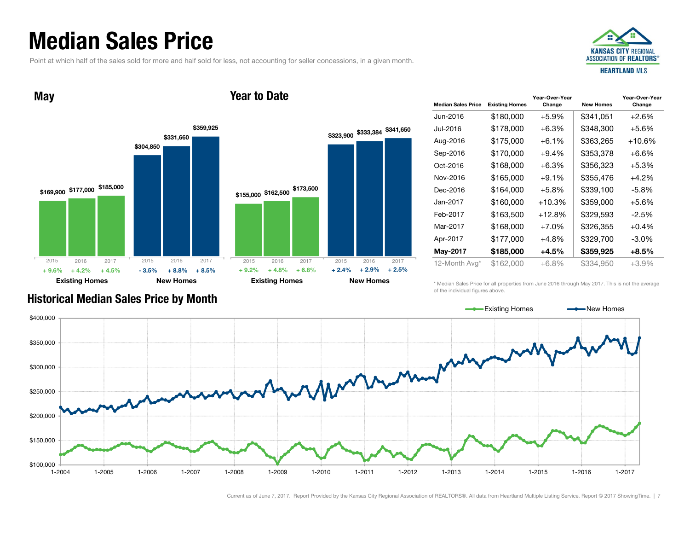### Median Sales Price

Point at which half of the sales sold for more and half sold for less, not accounting for seller concessions, in a given month.



**May** 



| <b>Year to Date</b> |  |
|---------------------|--|
|---------------------|--|



| <b>Median Sales Price</b> | <b>Existing Homes</b> | Year-Over-Year<br>Change | <b>New Homes</b> | Year-Over-Year<br>Change |
|---------------------------|-----------------------|--------------------------|------------------|--------------------------|
| Jun-2016                  | \$180,000             | $+5.9%$                  | \$341,051        | $+2.6%$                  |
| Jul-2016                  | \$178,000             | $+6.3%$                  | \$348,300        | $+5.6%$                  |
| Aug-2016                  | \$175,000             | +6.1%                    | \$363,265        | +10.6%                   |
| Sep-2016                  | \$170,000             | $+9.4%$                  | \$353,378        | $+6.6%$                  |
| Oct-2016                  | \$168,000             | $+6.3%$                  | \$356,323        | $+5.3%$                  |
| Nov-2016                  | \$165,000             | $+9.1%$                  | \$355,476        | +4.2%                    |
| Dec-2016                  | \$164,000             | $+5.8\%$                 | \$339,100        | -5.8%                    |
| Jan-2017                  | \$160,000             | $+10.3%$                 | \$359,000        | $+5.6%$                  |
| Feb-2017                  | \$163,500             | $+12.8%$                 | \$329,593        | -2.5%                    |
| Mar-2017                  | \$168,000             | $+7.0%$                  | \$326,355        | $+0.4%$                  |
| Apr-2017                  | \$177,000             | $+4.8%$                  | \$329,700        | $-3.0\%$                 |
| May-2017                  | \$185,000             | +4.5%                    | \$359,925        | +8.5%                    |
| 12-Month Avg*             | \$162,000             | $+6.8\%$                 | \$334,950        | $+3.9%$                  |

\* Median Sales Price for all properties from June 2016 through May 2017. This is not the average of the individual figures above.



Current as of June 7, 2017. Report Provided by the Kansas City Regional Association of REALTORS®. All data from Heartland Multiple Listing Service. Report © 2017 ShowingTime. | 7

### Historical Median Sales Price by Month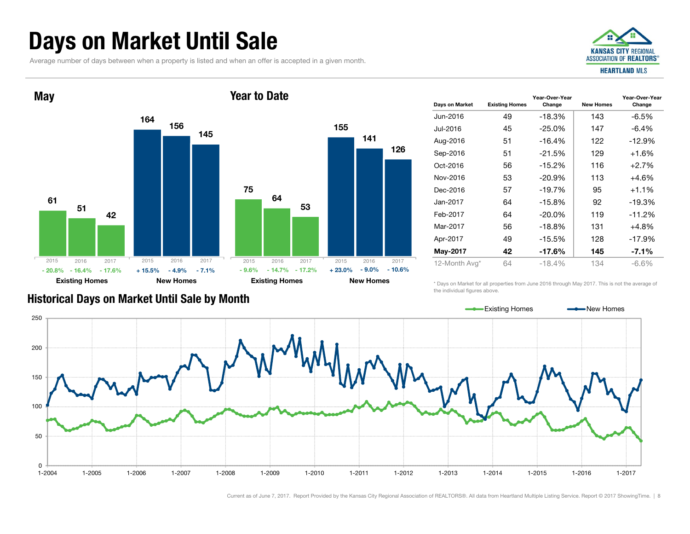# Days on Market Until Sale

Average number of days between when a property is listed and when an offer is accepted in a given month.





| Days on Market | <b>Existing Homes</b> | Year-Over-Year<br>Change | <b>New Homes</b> | Year-Over-Year<br>Change |
|----------------|-----------------------|--------------------------|------------------|--------------------------|
| Jun-2016       | 49                    | $-18.3%$                 | 143              | $-6.5%$                  |
| Jul-2016       | 45                    | $-25.0%$                 | 147              | $-6.4%$                  |
| Aug-2016       | 51                    | $-16.4%$                 | 122              | $-12.9%$                 |
| Sep-2016       | 51                    | $-21.5%$                 | 129              | $+1.6%$                  |
| Oct-2016       | 56                    | $-15.2%$                 | 116              | $+2.7%$                  |
| Nov-2016       | 53                    | $-20.9%$                 | 113              | $+4.6%$                  |
| Dec-2016       | 57                    | $-19.7%$                 | 95               | $+1.1%$                  |
| Jan-2017       | 64                    | $-15.8%$                 | 92               | $-19.3%$                 |
| Feb-2017       | 64                    | $-20.0\%$                | 119              | $-11.2%$                 |
| Mar-2017       | 56                    | -18.8%                   | 131              | +4.8%                    |
| Apr-2017       | 49                    | $-15.5%$                 | 128              | $-17.9%$                 |
| May-2017       | 42                    | -17.6%                   | 145              | -7.1%                    |
| 12-Month Avg*  | 64                    | $-18.4%$                 | 134              | $-6.6%$                  |

\* Days on Market for all properties from June 2016 through May 2017. This is not the average of the individual figures above.



Current as of June 7, 2017. Report Provided by the Kansas City Regional Association of REALTORS®. All data from Heartland Multiple Listing Service. Report © 2017 ShowingTime. | 8

### Historical Days on Market Until Sale by Month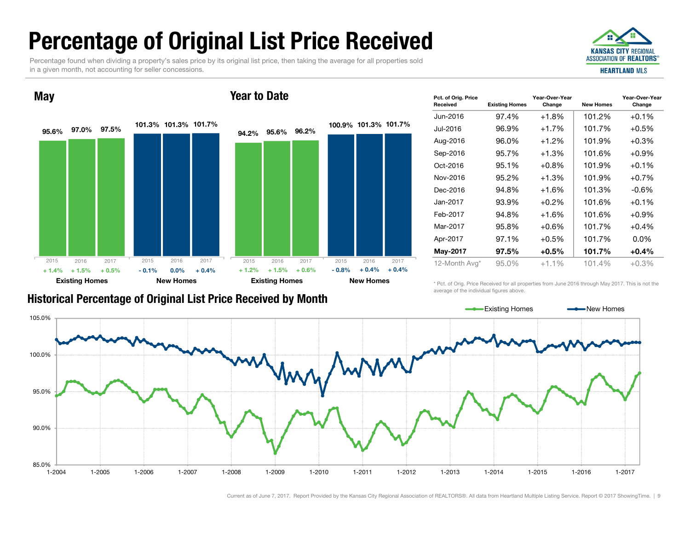# Percentage of Original List Price Received

Percentage found when dividing a property's sales price by its original list price, then taking the average for all properties sold in a given month, not accounting for seller concessions.





| Pct. of Orig. Price<br>Received | <b>Existing Homes</b> | Year-Over-Year<br>Change | <b>New Homes</b> | Year-Over-Year<br>Change |
|---------------------------------|-----------------------|--------------------------|------------------|--------------------------|
| Jun-2016                        | 97.4%                 | $+1.8%$                  | 101.2%           | $+0.1%$                  |
| Jul-2016                        | 96.9%                 | $+1.7%$                  | 101.7%           | $+0.5%$                  |
| Aug-2016                        | 96.0%                 | $+1.2\%$                 | 101.9%           | $+0.3%$                  |
| Sep-2016                        | 95.7%                 | $+1.3%$                  | 101.6%           | $+0.9\%$                 |
| Oct-2016                        | 95.1%                 | $+0.8%$                  | 101.9%           | $+0.1%$                  |
| Nov-2016                        | 95.2%                 | $+1.3%$                  | 101.9%           | $+0.7%$                  |
| Dec-2016                        | 94.8%                 | $+1.6%$                  | 101.3%           | $-0.6\%$                 |
| Jan-2017                        | 93.9%                 | $+0.2%$                  | 101.6%           | $+0.1%$                  |
| Feb-2017                        | 94.8%                 | $+1.6%$                  | 101.6%           | $+0.9%$                  |
| Mar-2017                        | 95.8%                 | $+0.6%$                  | 101.7%           | $+0.4%$                  |
| Apr-2017                        | 97.1%                 | $+0.5%$                  | 101.7%           | $0.0\%$                  |
| May-2017                        | 97.5%                 | $+0.5%$                  | 101.7%           | $+0.4%$                  |
| 12-Month Avg*                   | 95.0%                 | $+1.1\%$                 | 101.4%           | $+0.3\%$                 |
|                                 |                       |                          |                  |                          |

\* Pct. of Orig. Price Received for all properties from June 2016 through May 2017. This is not the average of the individual figures above.

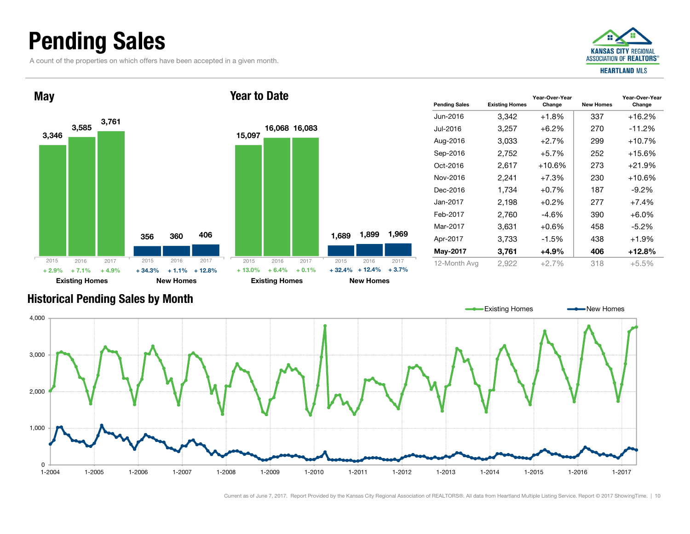## Pending Sales

A count of the properties on which offers have been accepted in a given month.





| <b>Pending Sales</b> | <b>Existing Homes</b> | Year-Over-Year<br>Change | <b>New Homes</b> | Year-Over-Year<br>Change |
|----------------------|-----------------------|--------------------------|------------------|--------------------------|
| Jun-2016             | 3,342                 | $+1.8%$                  | 337              | $+16.2%$                 |
| Jul-2016             | 3,257                 | $+6.2\%$                 | 270              | $-11.2%$                 |
| Aug-2016             | 3,033                 | $+2.7%$                  | 299              | $+10.7%$                 |
| Sep-2016             | 2,752                 | $+5.7%$                  | 252              | +15.6%                   |
| $Oct-2016$           | 2,617                 | $+10.6%$                 | 273              | $+21.9%$                 |
| Nov-2016             | 2,241                 | $+7.3%$                  | 230              | $+10.6%$                 |
| Dec-2016             | 1,734                 | $+0.7%$                  | 187              | $-9.2\%$                 |
| Jan-2017             | 2,198                 | $+0.2%$                  | 277              | $+7.4%$                  |
| Feb-2017             | 2,760                 | $-4.6%$                  | 390              | $+6.0\%$                 |
| Mar-2017             | 3,631                 | $+0.6%$                  | 458              | $-5.2\%$                 |
| Apr-2017             | 3,733                 | $-1.5%$                  | 438              | $+1.9%$                  |
| May-2017             | 3,761                 | +4.9%                    | 406              | $+12.8%$                 |
| 12-Month Avg         | 2,922                 | $+2.7\%$                 | 318              | $+5.5%$                  |
|                      |                       |                          |                  |                          |

### Historical Pending Sales by Month

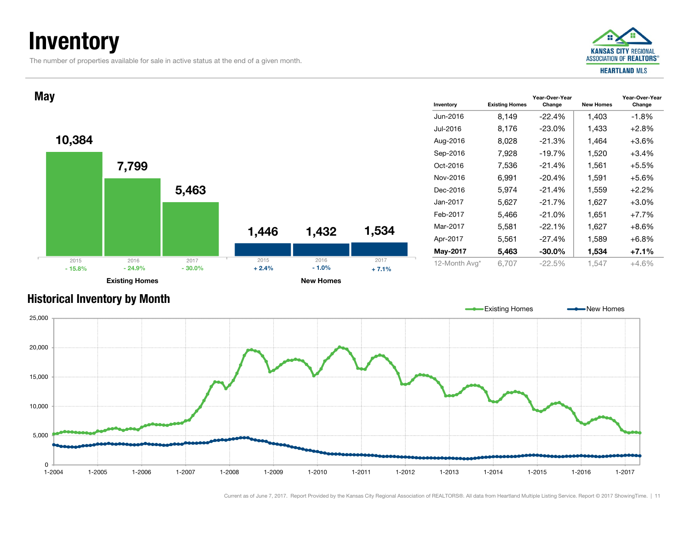# **Inventory**

The number of properties available for sale in active status at the end of a given month.





### Historical Inventory by Month